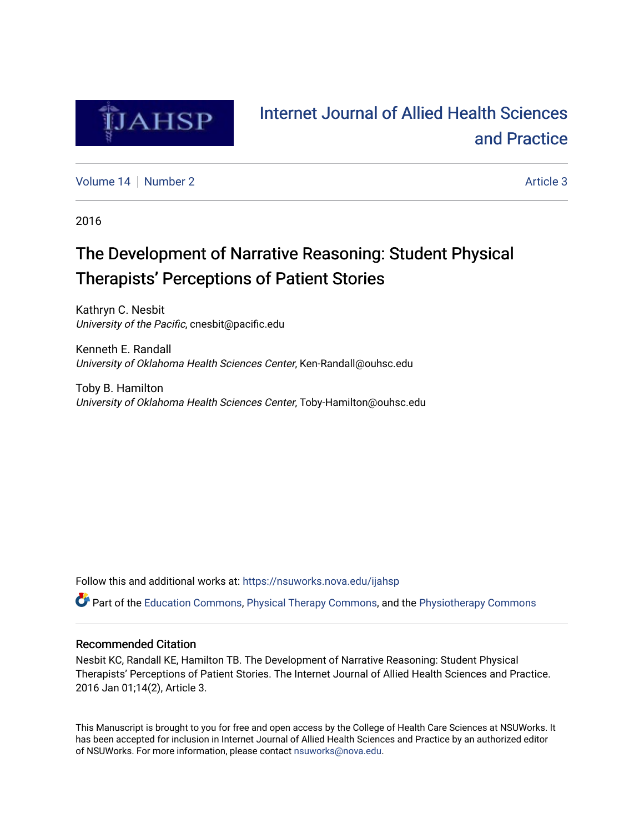

# [Internet Journal of Allied Health Sciences](https://nsuworks.nova.edu/ijahsp)  [and Practice](https://nsuworks.nova.edu/ijahsp)

[Volume 14](https://nsuworks.nova.edu/ijahsp/vol14) | [Number 2](https://nsuworks.nova.edu/ijahsp/vol14/iss2) Article 3

2016

# The Development of Narrative Reasoning: Student Physical Therapists' Perceptions of Patient Stories

Kathryn C. Nesbit University of the Pacific, cnesbit@pacific.edu

Kenneth E. Randall University of Oklahoma Health Sciences Center, Ken-Randall@ouhsc.edu

Toby B. Hamilton University of Oklahoma Health Sciences Center, Toby-Hamilton@ouhsc.edu

Follow this and additional works at: [https://nsuworks.nova.edu/ijahsp](https://nsuworks.nova.edu/ijahsp?utm_source=nsuworks.nova.edu%2Fijahsp%2Fvol14%2Fiss2%2F3&utm_medium=PDF&utm_campaign=PDFCoverPages) 

Part of the [Education Commons](http://network.bepress.com/hgg/discipline/784?utm_source=nsuworks.nova.edu%2Fijahsp%2Fvol14%2Fiss2%2F3&utm_medium=PDF&utm_campaign=PDFCoverPages), [Physical Therapy Commons,](http://network.bepress.com/hgg/discipline/754?utm_source=nsuworks.nova.edu%2Fijahsp%2Fvol14%2Fiss2%2F3&utm_medium=PDF&utm_campaign=PDFCoverPages) and the [Physiotherapy Commons](http://network.bepress.com/hgg/discipline/1086?utm_source=nsuworks.nova.edu%2Fijahsp%2Fvol14%2Fiss2%2F3&utm_medium=PDF&utm_campaign=PDFCoverPages)

## Recommended Citation

Nesbit KC, Randall KE, Hamilton TB. The Development of Narrative Reasoning: Student Physical Therapists' Perceptions of Patient Stories. The Internet Journal of Allied Health Sciences and Practice. 2016 Jan 01;14(2), Article 3.

This Manuscript is brought to you for free and open access by the College of Health Care Sciences at NSUWorks. It has been accepted for inclusion in Internet Journal of Allied Health Sciences and Practice by an authorized editor of NSUWorks. For more information, please contact [nsuworks@nova.edu.](mailto:nsuworks@nova.edu)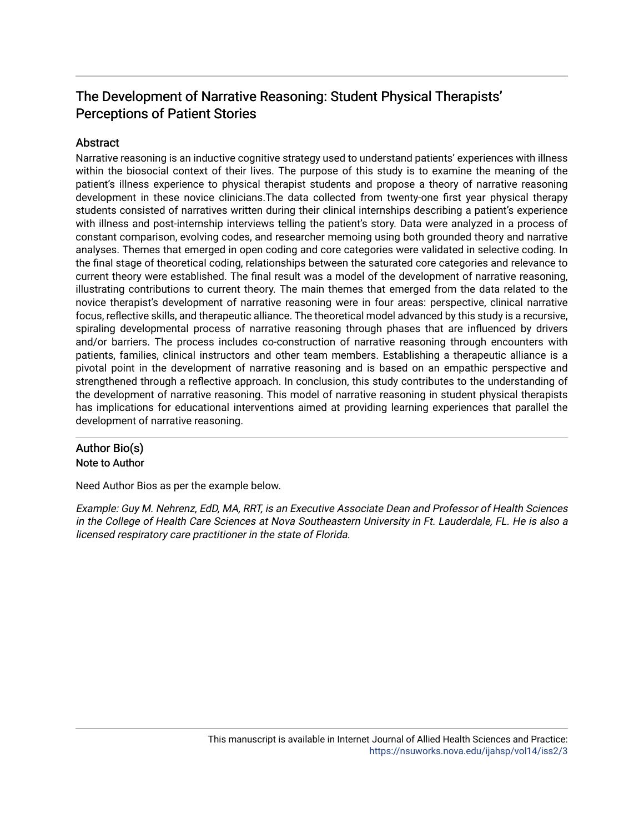## The Development of Narrative Reasoning: Student Physical Therapists' Perceptions of Patient Stories

## **Abstract**

Narrative reasoning is an inductive cognitive strategy used to understand patients' experiences with illness within the biosocial context of their lives. The purpose of this study is to examine the meaning of the patient's illness experience to physical therapist students and propose a theory of narrative reasoning development in these novice clinicians.The data collected from twenty-one first year physical therapy students consisted of narratives written during their clinical internships describing a patient's experience with illness and post-internship interviews telling the patient's story. Data were analyzed in a process of constant comparison, evolving codes, and researcher memoing using both grounded theory and narrative analyses. Themes that emerged in open coding and core categories were validated in selective coding. In the final stage of theoretical coding, relationships between the saturated core categories and relevance to current theory were established. The final result was a model of the development of narrative reasoning, illustrating contributions to current theory. The main themes that emerged from the data related to the novice therapist's development of narrative reasoning were in four areas: perspective, clinical narrative focus, reflective skills, and therapeutic alliance. The theoretical model advanced by this study is a recursive, spiraling developmental process of narrative reasoning through phases that are influenced by drivers and/or barriers. The process includes co-construction of narrative reasoning through encounters with patients, families, clinical instructors and other team members. Establishing a therapeutic alliance is a pivotal point in the development of narrative reasoning and is based on an empathic perspective and strengthened through a reflective approach. In conclusion, this study contributes to the understanding of the development of narrative reasoning. This model of narrative reasoning in student physical therapists has implications for educational interventions aimed at providing learning experiences that parallel the development of narrative reasoning.

## Author Bio(s) Note to Author

Need Author Bios as per the example below.

Example: Guy M. Nehrenz, EdD, MA, RRT, is an Executive Associate Dean and Professor of Health Sciences in the College of Health Care Sciences at Nova Southeastern University in Ft. Lauderdale, FL. He is also a licensed respiratory care practitioner in the state of Florida.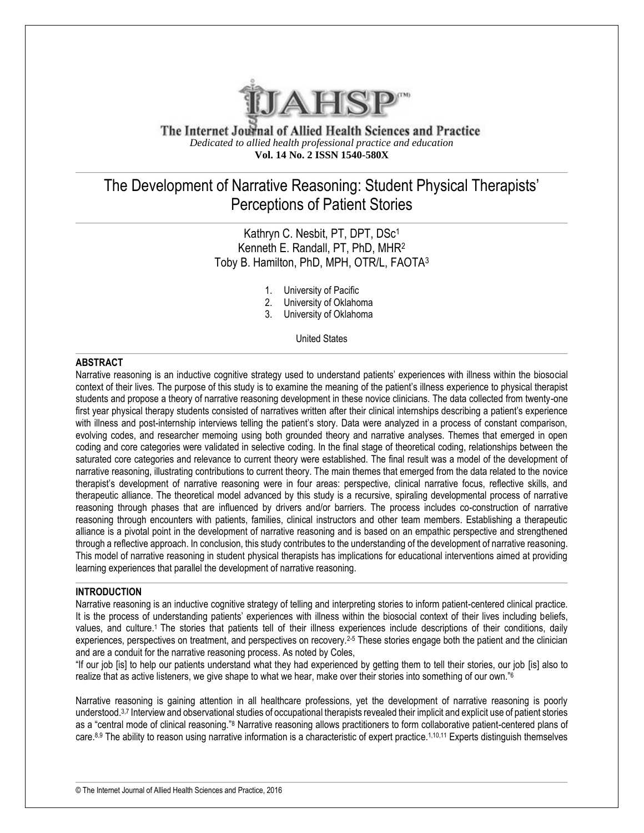

The Internet Journal of Allied Health Sciences and Practice *Dedicated to allied health professional practice and education* **Vol. 14 No. 2 ISSN 1540-580X**

## The Development of Narrative Reasoning: Student Physical Therapists' Perceptions of Patient Stories

## Kathryn C. Nesbit, PT, DPT, DSc<sup>1</sup> Kenneth E. Randall, PT, PhD, MHR<sup>2</sup> Toby B. Hamilton, PhD, MPH, OTR/L, FAOTA<sup>3</sup>

- 1. University of Pacific
- 2. University of Oklahoma
- 3. University of Oklahoma

United States

### **ABSTRACT**

Narrative reasoning is an inductive cognitive strategy used to understand patients' experiences with illness within the biosocial context of their lives. The purpose of this study is to examine the meaning of the patient's illness experience to physical therapist students and propose a theory of narrative reasoning development in these novice clinicians. The data collected from twenty-one first year physical therapy students consisted of narratives written after their clinical internships describing a patient's experience with illness and post-internship interviews telling the patient's story. Data were analyzed in a process of constant comparison, evolving codes, and researcher memoing using both grounded theory and narrative analyses. Themes that emerged in open coding and core categories were validated in selective coding. In the final stage of theoretical coding, relationships between the saturated core categories and relevance to current theory were established. The final result was a model of the development of narrative reasoning, illustrating contributions to current theory. The main themes that emerged from the data related to the novice therapist's development of narrative reasoning were in four areas: perspective, clinical narrative focus, reflective skills, and therapeutic alliance. The theoretical model advanced by this study is a recursive, spiraling developmental process of narrative reasoning through phases that are influenced by drivers and/or barriers. The process includes co-construction of narrative reasoning through encounters with patients, families, clinical instructors and other team members. Establishing a therapeutic alliance is a pivotal point in the development of narrative reasoning and is based on an empathic perspective and strengthened through a reflective approach. In conclusion, this study contributes to the understanding of the development of narrative reasoning. This model of narrative reasoning in student physical therapists has implications for educational interventions aimed at providing learning experiences that parallel the development of narrative reasoning.

#### **INTRODUCTION**

Narrative reasoning is an inductive cognitive strategy of telling and interpreting stories to inform patient-centered clinical practice. It is the process of understanding patients' experiences with illness within the biosocial context of their lives including beliefs, values, and culture.1 The stories that patients tell of their illness experiences include descriptions of their conditions, daily experiences, perspectives on treatment, and perspectives on recovery.<sup>2-5</sup> These stories engage both the patient and the clinician and are a conduit for the narrative reasoning process. As noted by Coles,

"If our job [is] to help our patients understand what they had experienced by getting them to tell their stories, our job [is] also to realize that as active listeners, we give shape to what we hear, make over their stories into something of our own."<sup>6</sup>

Narrative reasoning is gaining attention in all healthcare professions, yet the development of narrative reasoning is poorly understood.3,7 Interview and observational studies of occupational therapists revealed their implicit and explicit use of patient stories as a "central mode of clinical reasoning."<sup>8</sup> Narrative reasoning allows practitioners to form collaborative patient-centered plans of care.8,9 The ability to reason using narrative information is a characteristic of expert practice.1,10,11 Experts distinguish themselves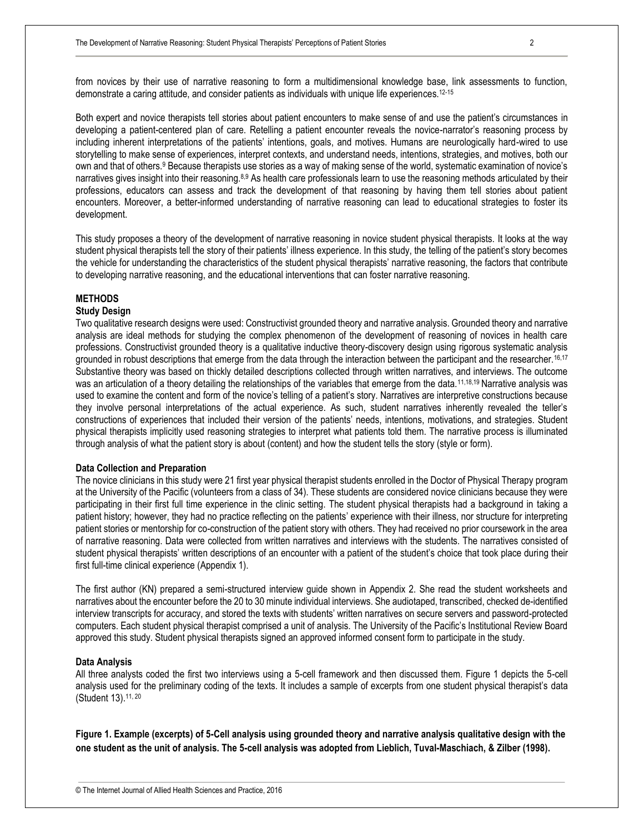from novices by their use of narrative reasoning to form a multidimensional knowledge base, link assessments to function, demonstrate a caring attitude, and consider patients as individuals with unique life experiences.12-15

Both expert and novice therapists tell stories about patient encounters to make sense of and use the patient's circumstances in developing a patient-centered plan of care. Retelling a patient encounter reveals the novice-narrator's reasoning process by including inherent interpretations of the patients' intentions, goals, and motives. Humans are neurologically hard-wired to use storytelling to make sense of experiences, interpret contexts, and understand needs, intentions, strategies, and motives, both our own and that of others.<sup>9</sup> Because therapists use stories as a way of making sense of the world, systematic examination of novice's narratives gives insight into their reasoning.8,9 As health care professionals learn to use the reasoning methods articulated by their professions, educators can assess and track the development of that reasoning by having them tell stories about patient encounters. Moreover, a better-informed understanding of narrative reasoning can lead to educational strategies to foster its development.

This study proposes a theory of the development of narrative reasoning in novice student physical therapists. It looks at the way student physical therapists tell the story of their patients' illness experience. In this study, the telling of the patient's story becomes the vehicle for understanding the characteristics of the student physical therapists' narrative reasoning, the factors that contribute to developing narrative reasoning, and the educational interventions that can foster narrative reasoning.

#### **METHODS**

#### **Study Design**

Two qualitative research designs were used: Constructivist grounded theory and narrative analysis. Grounded theory and narrative analysis are ideal methods for studying the complex phenomenon of the development of reasoning of novices in health care professions. Constructivist grounded theory is a qualitative inductive theory-discovery design using rigorous systematic analysis grounded in robust descriptions that emerge from the data through the interaction between the participant and the researcher. 16,17 Substantive theory was based on thickly detailed descriptions collected through written narratives, and interviews. The outcome was an articulation of a theory detailing the relationships of the variables that emerge from the data.<sup>11,18,19</sup> Narrative analysis was used to examine the content and form of the novice's telling of a patient's story. Narratives are interpretive constructions because they involve personal interpretations of the actual experience. As such, student narratives inherently revealed the teller's constructions of experiences that included their version of the patients' needs, intentions, motivations, and strategies. Student physical therapists implicitly used reasoning strategies to interpret what patients told them. The narrative process is illuminated through analysis of what the patient story is about (content) and how the student tells the story (style or form).

#### **Data Collection and Preparation**

The novice clinicians in this study were 21 first year physical therapist students enrolled in the Doctor of Physical Therapy program at the University of the Pacific (volunteers from a class of 34). These students are considered novice clinicians because they were participating in their first full time experience in the clinic setting. The student physical therapists had a background in taking a patient history; however, they had no practice reflecting on the patients' experience with their illness, nor structure for interpreting patient stories or mentorship for co-construction of the patient story with others. They had received no prior coursework in the area of narrative reasoning. Data were collected from written narratives and interviews with the students. The narratives consisted of student physical therapists' written descriptions of an encounter with a patient of the student's choice that took place during their first full-time clinical experience (Appendix 1).

The first author (KN) prepared a semi-structured interview guide shown in Appendix 2. She read the student worksheets and narratives about the encounter before the 20 to 30 minute individual interviews. She audiotaped, transcribed, checked de-identified interview transcripts for accuracy, and stored the texts with students' written narratives on secure servers and password-protected computers. Each student physical therapist comprised a unit of analysis. The University of the Pacific's Institutional Review Board approved this study. Student physical therapists signed an approved informed consent form to participate in the study.

#### **Data Analysis**

All three analysts coded the first two interviews using a 5-cell framework and then discussed them. Figure 1 depicts the 5-cell analysis used for the preliminary coding of the texts. It includes a sample of excerpts from one student physical therapist's data (Student 13).11, 20

**Figure 1. Example (excerpts) of 5-Cell analysis using grounded theory and narrative analysis qualitative design with the one student as the unit of analysis. The 5-cell analysis was adopted from Lieblich, Tuval-Maschiach, & Zilber (1998).**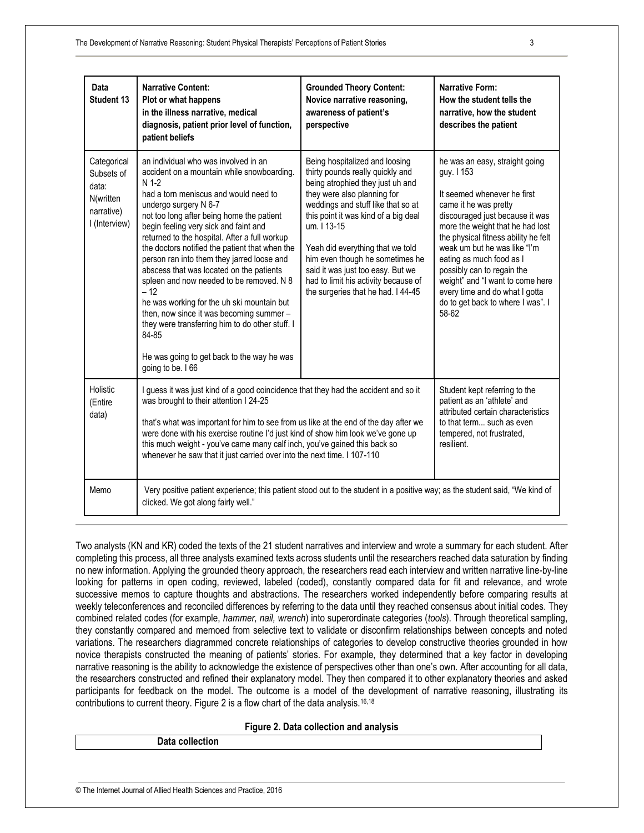| Data<br>Student 13                                                             | <b>Narrative Content:</b><br>Plot or what happens<br>in the illness narrative, medical<br>diagnosis, patient prior level of function,<br>patient beliefs                                                                                                                                                                                                                                                                                                                                                                                                                                                                                                                                                                         | <b>Grounded Theory Content:</b><br>Novice narrative reasoning,<br>awareness of patient's<br>perspective                                                                                                                                                                                                                                                                                                                      | Narrative Form:<br>How the student tells the<br>narrative, how the student<br>describes the patient                                                                                                                                                                                                                                                                                                                               |
|--------------------------------------------------------------------------------|----------------------------------------------------------------------------------------------------------------------------------------------------------------------------------------------------------------------------------------------------------------------------------------------------------------------------------------------------------------------------------------------------------------------------------------------------------------------------------------------------------------------------------------------------------------------------------------------------------------------------------------------------------------------------------------------------------------------------------|------------------------------------------------------------------------------------------------------------------------------------------------------------------------------------------------------------------------------------------------------------------------------------------------------------------------------------------------------------------------------------------------------------------------------|-----------------------------------------------------------------------------------------------------------------------------------------------------------------------------------------------------------------------------------------------------------------------------------------------------------------------------------------------------------------------------------------------------------------------------------|
| Categorical<br>Subsets of<br>data:<br>N(written<br>narrative)<br>I (Interview) | an individual who was involved in an<br>accident on a mountain while snowboarding.<br>$N$ 1-2<br>had a torn meniscus and would need to<br>undergo surgery N 6-7<br>not too long after being home the patient<br>begin feeling very sick and faint and<br>returned to the hospital. After a full workup<br>the doctors notified the patient that when the<br>person ran into them they jarred loose and<br>abscess that was located on the patients<br>spleen and now needed to be removed. N 8<br>$-12$<br>he was working for the uh ski mountain but<br>then, now since it was becoming summer -<br>they were transferring him to do other stuff. I<br>84-85<br>He was going to get back to the way he was<br>going to be. I 66 | Being hospitalized and loosing<br>thirty pounds really quickly and<br>being atrophied they just uh and<br>they were also planning for<br>weddings and stuff like that so at<br>this point it was kind of a big deal<br>um. I 13-15<br>Yeah did everything that we told<br>him even though he sometimes he<br>said it was just too easy. But we<br>had to limit his activity because of<br>the surgeries that he had. I 44-45 | he was an easy, straight going<br>guy. I 153<br>It seemed whenever he first<br>came it he was pretty<br>discouraged just because it was<br>more the weight that he had lost<br>the physical fitness ability he felt<br>weak um but he was like "I'm<br>eating as much food as I<br>possibly can to regain the<br>weight" and "I want to come here<br>every time and do what I gotta<br>do to get back to where I was". I<br>58-62 |
| Holistic<br>(Entire<br>data)                                                   | I guess it was just kind of a good coincidence that they had the accident and so it<br>was brought to their attention I 24-25<br>that's what was important for him to see from us like at the end of the day after we<br>were done with his exercise routine I'd just kind of show him look we've gone up<br>this much weight - you've came many calf inch, you've gained this back so<br>whenever he saw that it just carried over into the next time. I 107-110                                                                                                                                                                                                                                                                |                                                                                                                                                                                                                                                                                                                                                                                                                              | Student kept referring to the<br>patient as an 'athlete' and<br>attributed certain characteristics<br>to that term such as even<br>tempered, not frustrated,<br>resilient.                                                                                                                                                                                                                                                        |
| Memo                                                                           | Very positive patient experience; this patient stood out to the student in a positive way; as the student said, "We kind of<br>clicked. We got along fairly well."                                                                                                                                                                                                                                                                                                                                                                                                                                                                                                                                                               |                                                                                                                                                                                                                                                                                                                                                                                                                              |                                                                                                                                                                                                                                                                                                                                                                                                                                   |

Two analysts (KN and KR) coded the texts of the 21 student narratives and interview and wrote a summary for each student. After completing this process, all three analysts examined texts across students until the researchers reached data saturation by finding no new information. Applying the grounded theory approach, the researchers read each interview and written narrative line-by-line looking for patterns in open coding, reviewed, labeled (coded), constantly compared data for fit and relevance, and wrote successive memos to capture thoughts and abstractions. The researchers worked independently before comparing results at weekly teleconferences and reconciled differences by referring to the data until they reached consensus about initial codes. They combined related codes (for example, *hammer, nail, wrench*) into superordinate categories (*tools*). Through theoretical sampling, they constantly compared and memoed from selective text to validate or disconfirm relationships between concepts and noted variations. The researchers diagrammed concrete relationships of categories to develop constructive theories grounded in how novice therapists constructed the meaning of patients' stories. For example, they determined that a key factor in developing narrative reasoning is the ability to acknowledge the existence of perspectives other than one's own. After accounting for all data, the researchers constructed and refined their explanatory model. They then compared it to other explanatory theories and asked participants for feedback on the model. The outcome is a model of the development of narrative reasoning, illustrating its contributions to current theory. Figure 2 is a flow chart of the data analysis.16,18

#### **Figure 2. Data collection and analysis**

**Data collection**

© The Internet Journal of Allied Health Sciences and Practice, 2016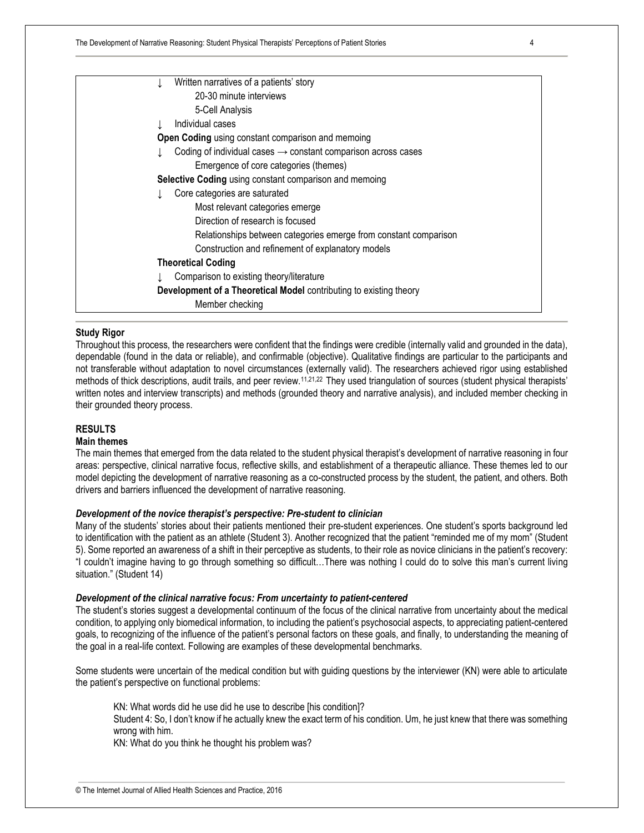The Development of Narrative Reasoning: Student Physical Therapists' Perceptions of Patient Stories 4

| Written narratives of a patients' story                                   |  |
|---------------------------------------------------------------------------|--|
| 20-30 minute interviews                                                   |  |
| 5-Cell Analysis                                                           |  |
| Individual cases                                                          |  |
| <b>Open Coding</b> using constant comparison and memoing                  |  |
| Coding of individual cases $\rightarrow$ constant comparison across cases |  |
| Emergence of core categories (themes)                                     |  |
| Selective Coding using constant comparison and memoing                    |  |
| Core categories are saturated                                             |  |
| Most relevant categories emerge                                           |  |
| Direction of research is focused                                          |  |
| Relationships between categories emerge from constant comparison          |  |
| Construction and refinement of explanatory models                         |  |
| <b>Theoretical Coding</b>                                                 |  |
| Comparison to existing theory/literature                                  |  |
| Development of a Theoretical Model contributing to existing theory        |  |
| Member checking                                                           |  |
|                                                                           |  |

#### **Study Rigor**

Throughout this process, the researchers were confident that the findings were credible (internally valid and grounded in the data), dependable (found in the data or reliable), and confirmable (objective). Qualitative findings are particular to the participants and not transferable without adaptation to novel circumstances (externally valid). The researchers achieved rigor using established methods of thick descriptions, audit trails, and peer review.<sup>11,21,22</sup> They used triangulation of sources (student physical therapists' written notes and interview transcripts) and methods (grounded theory and narrative analysis), and included member checking in their grounded theory process.

## **RESULTS**

#### **Main themes**

The main themes that emerged from the data related to the student physical therapist's development of narrative reasoning in four areas: perspective, clinical narrative focus, reflective skills, and establishment of a therapeutic alliance. These themes led to our model depicting the development of narrative reasoning as a co-constructed process by the student, the patient, and others. Both drivers and barriers influenced the development of narrative reasoning.

#### *Development of the novice therapist's perspective: Pre-student to clinician*

Many of the students' stories about their patients mentioned their pre-student experiences. One student's sports background led to identification with the patient as an athlete (Student 3). Another recognized that the patient "reminded me of my mom" (Student 5). Some reported an awareness of a shift in their perceptive as students, to their role as novice clinicians in the patient's recovery: "I couldn't imagine having to go through something so difficult…There was nothing I could do to solve this man's current living situation." (Student 14)

#### *Development of the clinical narrative focus: From uncertainty to patient-centered*

The student's stories suggest a developmental continuum of the focus of the clinical narrative from uncertainty about the medical condition, to applying only biomedical information, to including the patient's psychosocial aspects, to appreciating patient-centered goals, to recognizing of the influence of the patient's personal factors on these goals, and finally, to understanding the meaning of the goal in a real-life context. Following are examples of these developmental benchmarks.

Some students were uncertain of the medical condition but with guiding questions by the interviewer (KN) were able to articulate the patient's perspective on functional problems:

KN: What words did he use did he use to describe [his condition]?

Student 4: So, I don't know if he actually knew the exact term of his condition. Um, he just knew that there was something wrong with him.

KN: What do you think he thought his problem was?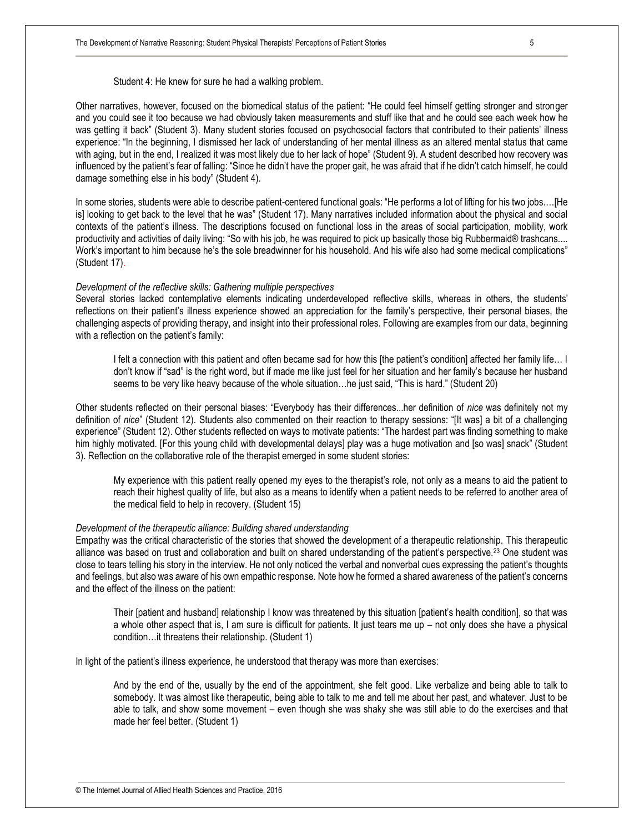Student 4: He knew for sure he had a walking problem.

Other narratives, however, focused on the biomedical status of the patient: "He could feel himself getting stronger and stronger and you could see it too because we had obviously taken measurements and stuff like that and he could see each week how he was getting it back" (Student 3). Many student stories focused on psychosocial factors that contributed to their patients' illness experience: "In the beginning, I dismissed her lack of understanding of her mental illness as an altered mental status that came with aging, but in the end, I realized it was most likely due to her lack of hope" (Student 9). A student described how recovery was influenced by the patient's fear of falling: "Since he didn't have the proper gait, he was afraid that if he didn't catch himself, he could damage something else in his body" (Student 4).

In some stories, students were able to describe patient-centered functional goals: "He performs a lot of lifting for his two jobs.…[He is] looking to get back to the level that he was" (Student 17). Many narratives included information about the physical and social contexts of the patient's illness. The descriptions focused on functional loss in the areas of social participation, mobility, work productivity and activities of daily living: "So with his job, he was required to pick up basically those big Rubbermaid® trashcans.... Work's important to him because he's the sole breadwinner for his household. And his wife also had some medical complications" (Student 17).

#### *Development of the reflective skills: Gathering multiple perspectives*

Several stories lacked contemplative elements indicating underdeveloped reflective skills, whereas in others, the students' reflections on their patient's illness experience showed an appreciation for the family's perspective, their personal biases, the challenging aspects of providing therapy, and insight into their professional roles. Following are examples from our data, beginning with a reflection on the patient's family:

I felt a connection with this patient and often became sad for how this [the patient's condition] affected her family life… I don't know if "sad" is the right word, but if made me like just feel for her situation and her family's because her husband seems to be very like heavy because of the whole situation…he just said, "This is hard." (Student 20)

Other students reflected on their personal biases: "Everybody has their differences...her definition of *nice* was definitely not my definition of *nice*" (Student 12). Students also commented on their reaction to therapy sessions: "[It was] a bit of a challenging experience" (Student 12). Other students reflected on ways to motivate patients: "The hardest part was finding something to make him highly motivated. [For this young child with developmental delays] play was a huge motivation and [so was] snack" (Student 3). Reflection on the collaborative role of the therapist emerged in some student stories:

My experience with this patient really opened my eyes to the therapist's role, not only as a means to aid the patient to reach their highest quality of life, but also as a means to identify when a patient needs to be referred to another area of the medical field to help in recovery. (Student 15)

#### *Development of the therapeutic alliance: Building shared understanding*

Empathy was the critical characteristic of the stories that showed the development of a therapeutic relationship. This therapeutic alliance was based on trust and collaboration and built on shared understanding of the patient's perspective.<sup>23</sup> One student was close to tears telling his story in the interview. He not only noticed the verbal and nonverbal cues expressing the patient's thoughts and feelings, but also was aware of his own empathic response. Note how he formed a shared awareness of the patient's concerns and the effect of the illness on the patient:

Their [patient and husband] relationship I know was threatened by this situation [patient's health condition], so that was a whole other aspect that is, I am sure is difficult for patients. It just tears me up – not only does she have a physical condition…it threatens their relationship. (Student 1)

In light of the patient's illness experience, he understood that therapy was more than exercises:

And by the end of the, usually by the end of the appointment, she felt good. Like verbalize and being able to talk to somebody. It was almost like therapeutic, being able to talk to me and tell me about her past, and whatever. Just to be able to talk, and show some movement – even though she was shaky she was still able to do the exercises and that made her feel better. (Student 1)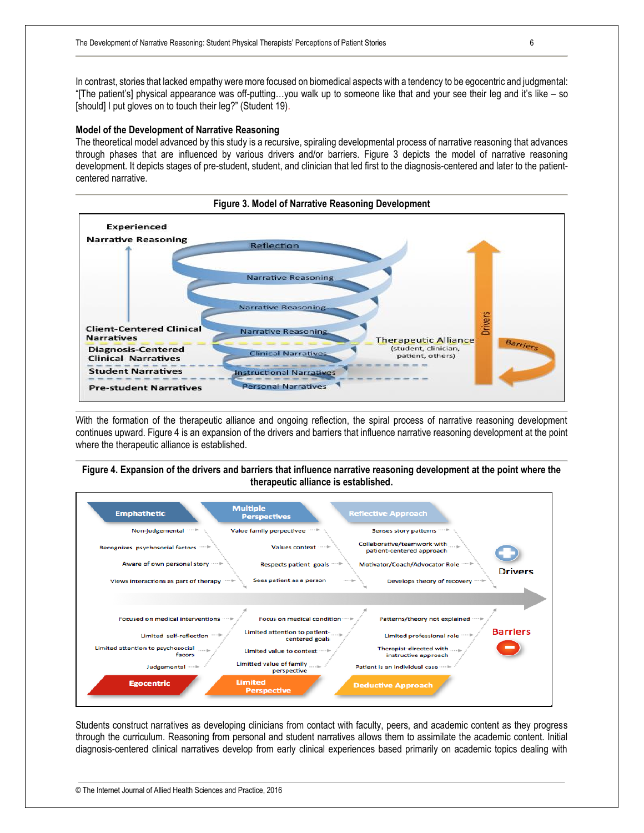In contrast, stories that lacked empathy were more focused on biomedical aspects with a tendency to be egocentric and judgmental: "[The patient's] physical appearance was off-putting…you walk up to someone like that and your see their leg and it's like – so [should] I put gloves on to touch their leg?" (Student 19).

#### **Model of the Development of Narrative Reasoning**

The theoretical model advanced by this study is a recursive, spiraling developmental process of narrative reasoning that advances through phases that are influenced by various drivers and/or barriers. Figure 3 depicts the model of narrative reasoning development. It depicts stages of pre-student, student, and clinician that led first to the diagnosis-centered and later to the patientcentered narrative.



With the formation of the therapeutic alliance and ongoing reflection, the spiral process of narrative reasoning development continues upward. Figure 4 is an expansion of the drivers and barriers that influence narrative reasoning development at the point where the therapeutic alliance is established.

#### **Figure 4. Expansion of the drivers and barriers that influence narrative reasoning development at the point where the therapeutic alliance is established.**



Students construct narratives as developing clinicians from contact with faculty, peers, and academic content as they progress through the curriculum. Reasoning from personal and student narratives allows them to assimilate the academic content. Initial diagnosis-centered clinical narratives develop from early clinical experiences based primarily on academic topics dealing with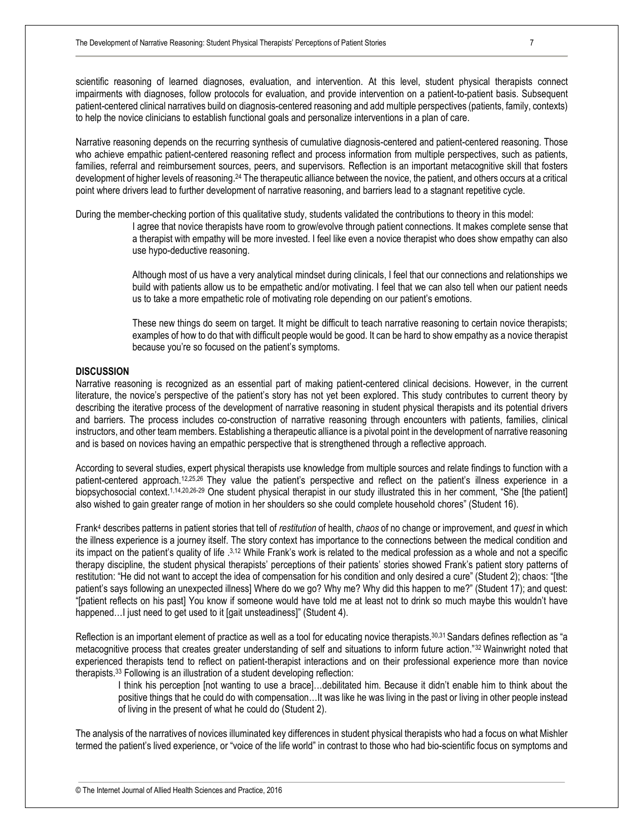scientific reasoning of learned diagnoses, evaluation, and intervention. At this level, student physical therapists connect impairments with diagnoses, follow protocols for evaluation, and provide intervention on a patient-to-patient basis. Subsequent patient-centered clinical narratives build on diagnosis-centered reasoning and add multiple perspectives (patients, family, contexts) to help the novice clinicians to establish functional goals and personalize interventions in a plan of care.

Narrative reasoning depends on the recurring synthesis of cumulative diagnosis-centered and patient-centered reasoning. Those who achieve empathic patient-centered reasoning reflect and process information from multiple perspectives, such as patients, families, referral and reimbursement sources, peers, and supervisors. Reflection is an important metacognitive skill that fosters development of higher levels of reasoning.<sup>24</sup> The therapeutic alliance between the novice, the patient, and others occurs at a critical point where drivers lead to further development of narrative reasoning, and barriers lead to a stagnant repetitive cycle.

During the member-checking portion of this qualitative study, students validated the contributions to theory in this model:

I agree that novice therapists have room to grow/evolve through patient connections. It makes complete sense that a therapist with empathy will be more invested. I feel like even a novice therapist who does show empathy can also use hypo-deductive reasoning.

Although most of us have a very analytical mindset during clinicals, I feel that our connections and relationships we build with patients allow us to be empathetic and/or motivating. I feel that we can also tell when our patient needs us to take a more empathetic role of motivating role depending on our patient's emotions.

These new things do seem on target. It might be difficult to teach narrative reasoning to certain novice therapists; examples of how to do that with difficult people would be good. It can be hard to show empathy as a novice therapist because you're so focused on the patient's symptoms.

### **DISCUSSION**

Narrative reasoning is recognized as an essential part of making patient-centered clinical decisions. However, in the current literature, the novice's perspective of the patient's story has not yet been explored. This study contributes to current theory by describing the iterative process of the development of narrative reasoning in student physical therapists and its potential drivers and barriers. The process includes co-construction of narrative reasoning through encounters with patients, families, clinical instructors, and other team members. Establishing a therapeutic alliance is a pivotal point in the development of narrative reasoning and is based on novices having an empathic perspective that is strengthened through a reflective approach.

According to several studies, expert physical therapists use knowledge from multiple sources and relate findings to function with a patient-centered approach.12,25,26 They value the patient's perspective and reflect on the patient's illness experience in a biopsychosocial context.<sup>1,14,20,26-29</sup> One student physical therapist in our study illustrated this in her comment, "She [the patient] also wished to gain greater range of motion in her shoulders so she could complete household chores" (Student 16).

Frank<sup>4</sup> describes patterns in patient stories that tell of *restitution* of health, *chaos* of no change or improvement, and *quest* in which the illness experience is a journey itself. The story context has importance to the connections between the medical condition and its impact on the patient's quality of life .<sup>3,12</sup> While Frank's work is related to the medical profession as a whole and not a specific therapy discipline, the student physical therapists' perceptions of their patients' stories showed Frank's patient story patterns of restitution: "He did not want to accept the idea of compensation for his condition and only desired a cure" (Student 2); chaos: "[the patient's says following an unexpected illness] Where do we go? Why me? Why did this happen to me?" (Student 17); and quest: "[patient reflects on his past] You know if someone would have told me at least not to drink so much maybe this wouldn't have happened... I just need to get used to it [gait unsteadiness]" (Student 4).

Reflection is an important element of practice as well as a tool for educating novice therapists.30,31 Sandars defines reflection as "a metacognitive process that creates greater understanding of self and situations to inform future action."32 Wainwright noted that experienced therapists tend to reflect on patient-therapist interactions and on their professional experience more than novice therapists.<sup>33</sup> Following is an illustration of a student developing reflection:

I think his perception [not wanting to use a brace]…debilitated him. Because it didn't enable him to think about the positive things that he could do with compensation…It was like he was living in the past or living in other people instead of living in the present of what he could do (Student 2).

The analysis of the narratives of novices illuminated key differences in student physical therapists who had a focus on what Mishler termed the patient's lived experience, or "voice of the life world" in contrast to those who had bio-scientific focus on symptoms and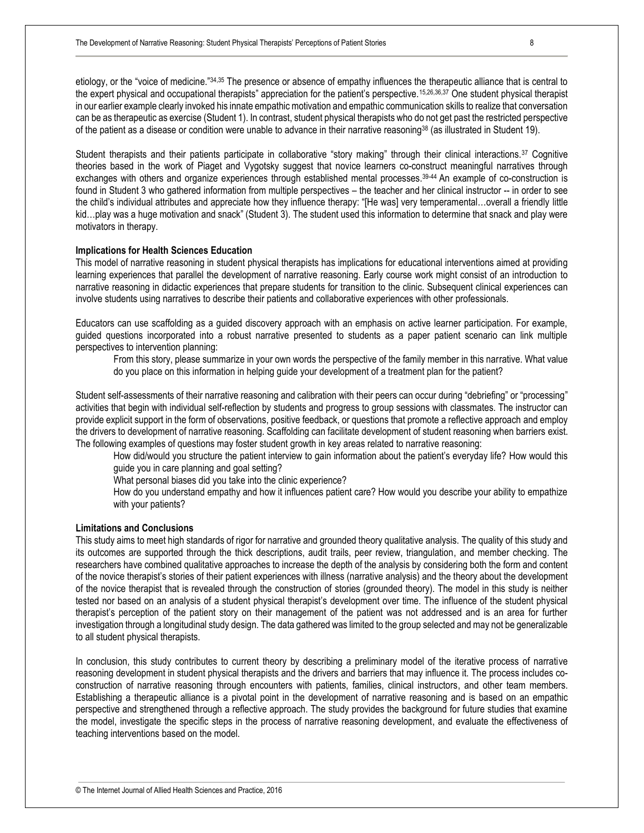etiology, or the "voice of medicine."34,35 The presence or absence of empathy influences the therapeutic alliance that is central to the expert physical and occupational therapists" appreciation for the patient's perspective.15,26,36,37 One student physical therapist in our earlier example clearly invoked his innate empathic motivation and empathic communication skills to realize that conversation can be as therapeutic as exercise (Student 1). In contrast, student physical therapists who do not get past the restricted perspective of the patient as a disease or condition were unable to advance in their narrative reasoning<sup>38</sup> (as illustrated in Student 19).

Student therapists and their patients participate in collaborative "story making" through their clinical interactions.<sup>37</sup> Cognitive theories based in the work of Piaget and Vygotsky suggest that novice learners co-construct meaningful narratives through exchanges with others and organize experiences through established mental processes.<sup>39-44</sup> An example of co-construction is found in Student 3 who gathered information from multiple perspectives – the teacher and her clinical instructor -- in order to see the child's individual attributes and appreciate how they influence therapy: "[He was] very temperamental…overall a friendly little kid...play was a huge motivation and snack" (Student 3). The student used this information to determine that snack and play were motivators in therapy.

#### **Implications for Health Sciences Education**

This model of narrative reasoning in student physical therapists has implications for educational interventions aimed at providing learning experiences that parallel the development of narrative reasoning. Early course work might consist of an introduction to narrative reasoning in didactic experiences that prepare students for transition to the clinic. Subsequent clinical experiences can involve students using narratives to describe their patients and collaborative experiences with other professionals.

Educators can use scaffolding as a guided discovery approach with an emphasis on active learner participation. For example, guided questions incorporated into a robust narrative presented to students as a paper patient scenario can link multiple perspectives to intervention planning:

From this story, please summarize in your own words the perspective of the family member in this narrative. What value do you place on this information in helping guide your development of a treatment plan for the patient?

Student self-assessments of their narrative reasoning and calibration with their peers can occur during "debriefing" or "processing" activities that begin with individual self-reflection by students and progress to group sessions with classmates. The instructor can provide explicit support in the form of observations, positive feedback, or questions that promote a reflective approach and employ the drivers to development of narrative reasoning. Scaffolding can facilitate development of student reasoning when barriers exist. The following examples of questions may foster student growth in key areas related to narrative reasoning:

How did/would you structure the patient interview to gain information about the patient's everyday life? How would this guide you in care planning and goal setting?

What personal biases did you take into the clinic experience?

How do you understand empathy and how it influences patient care? How would you describe your ability to empathize with your patients?

#### **Limitations and Conclusions**

This study aims to meet high standards of rigor for narrative and grounded theory qualitative analysis. The quality of this study and its outcomes are supported through the thick descriptions, audit trails, peer review, triangulation, and member checking. The researchers have combined qualitative approaches to increase the depth of the analysis by considering both the form and content of the novice therapist's stories of their patient experiences with illness (narrative analysis) and the theory about the development of the novice therapist that is revealed through the construction of stories (grounded theory). The model in this study is neither tested nor based on an analysis of a student physical therapist's development over time. The influence of the student physical therapist's perception of the patient story on their management of the patient was not addressed and is an area for further investigation through a longitudinal study design. The data gathered was limited to the group selected and may not be generalizable to all student physical therapists.

In conclusion, this study contributes to current theory by describing a preliminary model of the iterative process of narrative reasoning development in student physical therapists and the drivers and barriers that may influence it. The process includes coconstruction of narrative reasoning through encounters with patients, families, clinical instructors, and other team members. Establishing a therapeutic alliance is a pivotal point in the development of narrative reasoning and is based on an empathic perspective and strengthened through a reflective approach. The study provides the background for future studies that examine the model, investigate the specific steps in the process of narrative reasoning development, and evaluate the effectiveness of teaching interventions based on the model.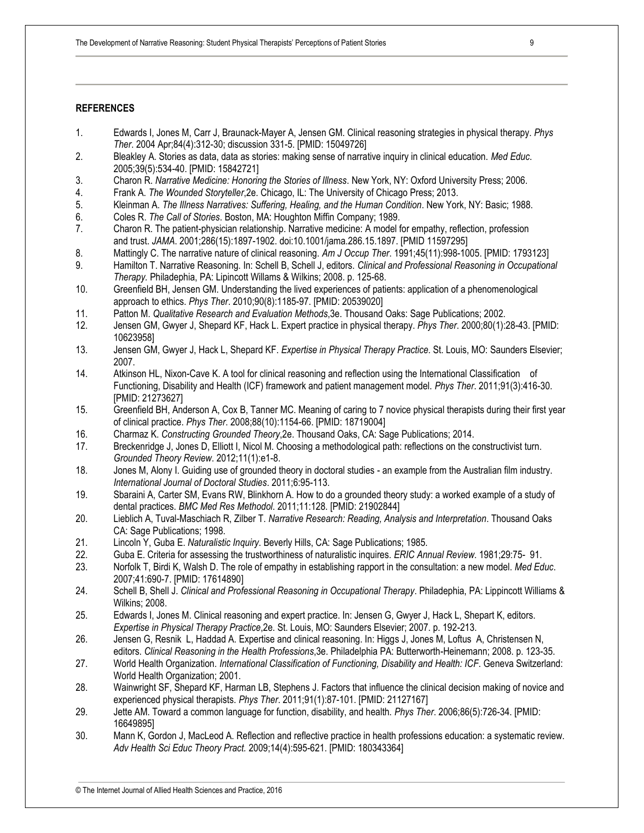#### **REFERENCES**

- 1. Edwards I, Jones M, Carr J, Braunack-Mayer A, Jensen GM. Clinical reasoning strategies in physical therapy. *Phys Ther*. 2004 Apr;84(4):312-30; discussion 331-5. [PMID: 15049726]
- 2. Bleakley A. Stories as data, data as stories: making sense of narrative inquiry in clinical education. *Med Educ*. 2005;39(5):534-40. [PMID: 15842721]
- 3. Charon R. *Narrative Medicine: Honoring the Stories of Illness*. New York, NY: Oxford University Press; 2006.
- 4. Frank A. *The Wounded Storyteller*,2e. Chicago, IL: The University of Chicago Press; 2013.
- 5. Kleinman A. *The Illness Narratives: Suffering, Healing, and the Human Condition*. New York, NY: Basic; 1988.
- 6. Coles R. *The Call of Stories*. Boston, MA: Houghton Miffin Company; 1989.
- 7. Charon R. The patient-physician relationship. Narrative medicine: A model for empathy, reflection, profession and trust. *JAMA*. 2001;286(15):1897-1902. doi:10.1001/jama.286.15.1897. [PMID 11597295]
- 8. Mattingly C. The narrative nature of clinical reasoning. *Am J Occup Ther*. 1991;45(11):998-1005. [PMID: 1793123]
- 9. Hamilton T. Narrative Reasoning. In: Schell B, Schell J, editors. *Clinical and Professional Reasoning in Occupational Therapy.* Philadephia, PA: Lipincott Willams & Wilkins; 2008. p. 125-68.
- 10. Greenfield BH, Jensen GM. Understanding the lived experiences of patients: application of a phenomenological approach to ethics. *Phys Ther*. 2010;90(8):1185-97. [PMID: 20539020]
- 11. Patton M. *Qualitative Research and Evaluation Methods*,3e. Thousand Oaks: Sage Publications; 2002.
- 12. Jensen GM, Gwyer J, Shepard KF, Hack L. Expert practice in physical therapy. *Phys Ther*. 2000;80(1):28-43. [PMID: 10623958]
- 13. Jensen GM, Gwyer J, Hack L, Shepard KF. *Expertise in Physical Therapy Practice*. St. Louis, MO: Saunders Elsevier; 2007.
- 14. Atkinson HL, Nixon-Cave K. A tool for clinical reasoning and reflection using the International Classification of Functioning, Disability and Health (ICF) framework and patient management model. *Phys Ther*. 2011;91(3):416-30. [PMID: 21273627]
- 15. Greenfield BH, Anderson A, Cox B, Tanner MC. Meaning of caring to 7 novice physical therapists during their first year of clinical practice. *Phys Ther*. 2008;88(10):1154-66. [PMID: 18719004]
- 16. Charmaz K. *Constructing Grounded Theory*,2e. Thousand Oaks, CA: Sage Publications; 2014.
- 17. Breckenridge J, Jones D, Elliott I, Nicol M. Choosing a methodological path: reflections on the constructivist turn. *Grounded Theory Review*. 2012;11(1):e1-8.
- 18. Jones M, Alony I. Guiding use of grounded theory in doctoral studies an example from the Australian film industry. *International Journal of Doctoral Studies*. 2011;6:95-113.
- 19. Sbaraini A, Carter SM, Evans RW, Blinkhorn A. How to do a grounded theory study: a worked example of a study of dental practices. *BMC Med Res Methodol*. 2011;11:128. [PMID: 21902844]
- 20. Lieblich A, Tuval-Maschiach R, Zilber T. *Narrative Research: Reading, Analysis and Interpretation*. Thousand Oaks CA: Sage Publications; 1998.
- 21. Lincoln Y, Guba E. *Naturalistic Inquiry*. Beverly Hills, CA: Sage Publications; 1985.
- 22. Guba E. Criteria for assessing the trustworthiness of naturalistic inquires. *ERIC Annual Review*. 1981;29:75- 91.
- 23. Norfolk T, Birdi K, Walsh D. The role of empathy in establishing rapport in the consultation: a new model. *Med Educ*. 2007;41:690-7. [PMID: 17614890]
- 24. Schell B, Shell J. *Clinical and Professional Reasoning in Occupational Therapy*. Philadephia, PA: Lippincott Williams & Wilkins; 2008.
- 25. Edwards I, Jones M. Clinical reasoning and expert practice. In: Jensen G, Gwyer J, Hack L, Shepart K, editors. *Expertise in Physical Therapy Practice*,2e. St. Louis, MO: Saunders Elsevier; 2007. p. 192-213.
- 26. Jensen G, Resnik L, Haddad A. Expertise and clinical reasoning. In: Higgs J, Jones M, Loftus A, Christensen N, editors. *Clinical Reasoning in the Health Professions*,3e. Philadelphia PA: Butterworth-Heinemann; 2008. p. 123-35.
- 27. World Health Organization. *International Classification of Functioning, Disability and Health: ICF*. Geneva Switzerland: World Health Organization; 2001.
- 28. Wainwright SF, Shepard KF, Harman LB, Stephens J. Factors that influence the clinical decision making of novice and experienced physical therapists. *Phys Ther*. 2011;91(1):87-101. [PMID: 21127167]
- 29. Jette AM. Toward a common language for function, disability, and health. *Phys Ther*. 2006;86(5):726-34. [PMID: 16649895]
- 30. Mann K, Gordon J, MacLeod A. Reflection and reflective practice in health professions education: a systematic review. *Adv Health Sci Educ Theory Pract.* 2009;14(4):595-621. [PMID: 180343364]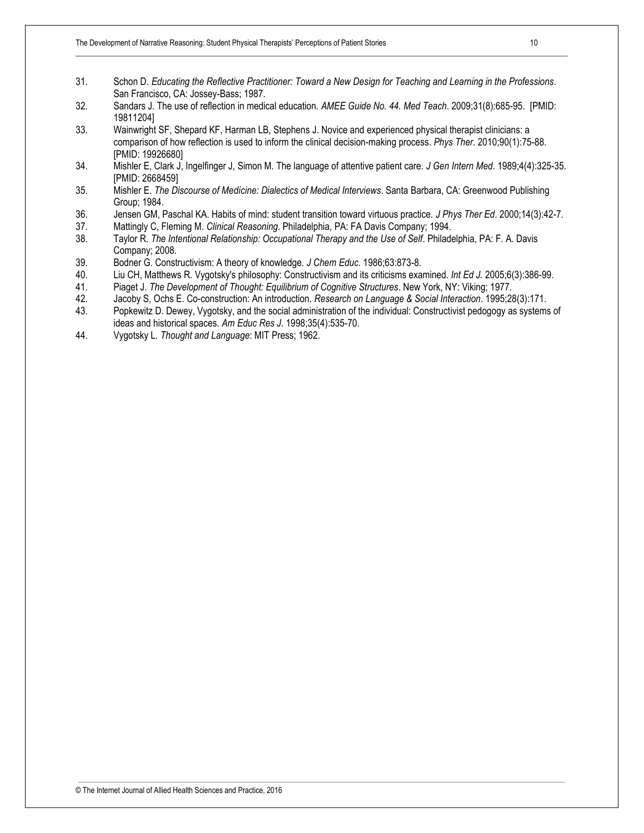- 31. Schon D. *Educating the Reflective Practitioner: Toward a New Design for Teaching and Learning in the Professions*. San Francisco, CA: Jossey-Bass; 1987.
- 32. Sandars J. The use of reflection in medical education. *AMEE Guide No. 44. Med Teach*. 2009;31(8):685-95. [PMID: 19811204]
- 33. Wainwright SF, Shepard KF, Harman LB, Stephens J. Novice and experienced physical therapist clinicians: a comparison of how reflection is used to inform the clinical decision-making process. *Phys Ther*. 2010;90(1):75-88. [PMID: 19926680]
- 34. Mishler E, Clark J, Ingelfinger J, Simon M. The language of attentive patient care. *J Gen Intern Med*. 1989;4(4):325-35. [PMID: 2668459]
- 35. Mishler E. *The Discourse of Medicine: Dialectics of Medical Interviews*. Santa Barbara, CA: Greenwood Publishing Group; 1984.
- 36. Jensen GM, Paschal KA. Habits of mind: student transition toward virtuous practice. *J Phys Ther Ed*. 2000;14(3):42-7.
- 37. Mattingly C, Fleming M. *Clinical Reasoning*. Philadelphia, PA: FA Davis Company; 1994.
- 38. Taylor R. *The Intentional Relationship: Occupational Therapy and the Use of Self*. Philadelphia, PA: F. A. Davis Company; 2008.
- 39. Bodner G. Constructivism: A theory of knowledge. *J Chem Educ*. 1986;63:873-8.
- 40. Liu CH, Matthews R. Vygotsky's philosophy: Constructivism and its criticisms examined. *Int Ed J.* 2005;6(3):386-99.
- 41. Piaget J. *The Development of Thought: Equilibrium of Cognitive Structures*. New York, NY: Viking; 1977.
- 42. Jacoby S, Ochs E. Co-construction: An introduction. *Research on Language & Social Interaction*. 1995;28(3):171.
- 43. Popkewitz D. Dewey, Vygotsky, and the social administration of the individual: Constructivist pedogogy as systems of ideas and historical spaces. *Am Educ Res J*. 1998;35(4):535-70.
- 44. Vygotsky L. *Thought and Language*: MIT Press; 1962.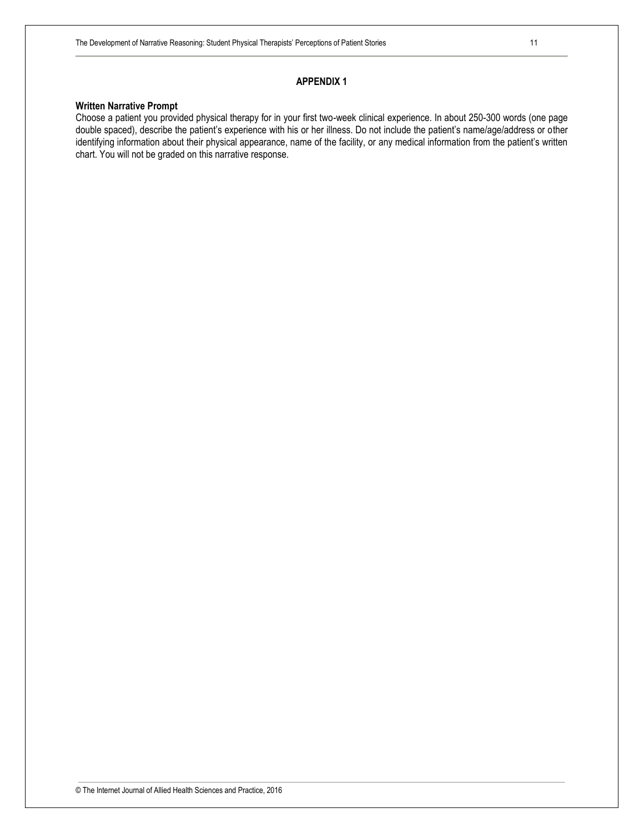#### **APPENDIX 1**

#### **Written Narrative Prompt**

Choose a patient you provided physical therapy for in your first two-week clinical experience. In about 250-300 words (one page double spaced), describe the patient's experience with his or her illness. Do not include the patient's name/age/address or other identifying information about their physical appearance, name of the facility, or any medical information from the patient's written chart. You will not be graded on this narrative response.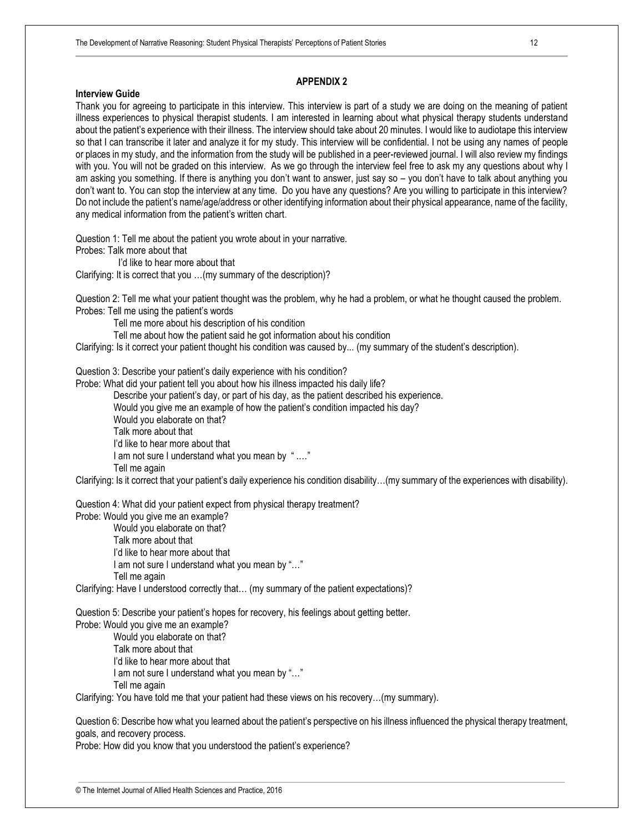## **APPENDIX 2**

#### **Interview Guide**

Thank you for agreeing to participate in this interview. This interview is part of a study we are doing on the meaning of patient illness experiences to physical therapist students. I am interested in learning about what physical therapy students understand about the patient's experience with their illness. The interview should take about 20 minutes. I would like to audiotape this interview so that I can transcribe it later and analyze it for my study. This interview will be confidential. I not be using any names of people or places in my study, and the information from the study will be published in a peer-reviewed journal. I will also review my findings with you. You will not be graded on this interview. As we go through the interview feel free to ask my any questions about why I am asking you something. If there is anything you don't want to answer, just say so – you don't have to talk about anything you don't want to. You can stop the interview at any time. Do you have any questions? Are you willing to participate in this interview? Do not include the patient's name/age/address or other identifying information about their physical appearance, name of the facility, any medical information from the patient's written chart.

Question 1: Tell me about the patient you wrote about in your narrative. Probes: Talk more about that

 I'd like to hear more about that Clarifying: It is correct that you …(my summary of the description)?

Question 2: Tell me what your patient thought was the problem, why he had a problem, or what he thought caused the problem. Probes: Tell me using the patient's words

Tell me more about his description of his condition

Tell me about how the patient said he got information about his condition

Clarifying: Is it correct your patient thought his condition was caused by... (my summary of the student's description).

Question 3: Describe your patient's daily experience with his condition?

Probe: What did your patient tell you about how his illness impacted his daily life?

Describe your patient's day, or part of his day, as the patient described his experience.

Would you give me an example of how the patient's condition impacted his day?

Would you elaborate on that?

Talk more about that

I'd like to hear more about that

I am not sure I understand what you mean by " .…"

Tell me again

Clarifying: Is it correct that your patient's daily experience his condition disability…(my summary of the experiences with disability).

Question 4: What did your patient expect from physical therapy treatment?

Probe: Would you give me an example?

 Would you elaborate on that? Talk more about that

 I'd like to hear more about that I am not sure I understand what you mean by "…"

Tell me again

Clarifying: Have I understood correctly that… (my summary of the patient expectations)?

Question 5: Describe your patient's hopes for recovery, his feelings about getting better.

Probe: Would you give me an example? Would you elaborate on that? Talk more about that I'd like to hear more about that I am not sure I understand what you mean by "…" Tell me again

Clarifying: You have told me that your patient had these views on his recovery…(my summary).

Question 6: Describe how what you learned about the patient's perspective on his illness influenced the physical therapy treatment, goals, and recovery process.

Probe: How did you know that you understood the patient's experience?